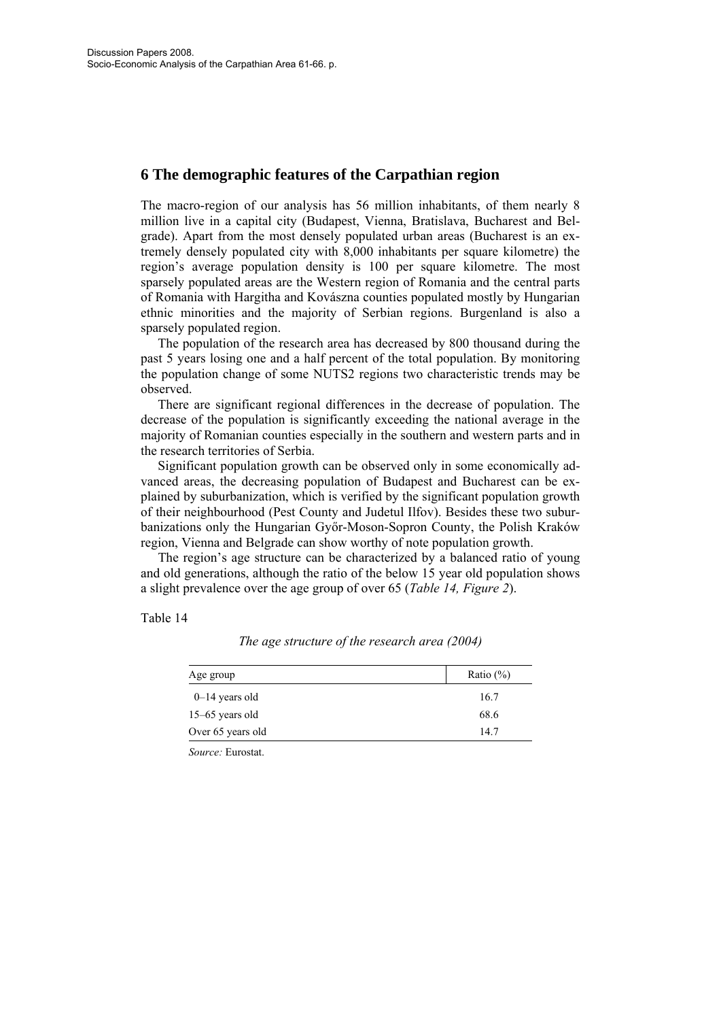# **6 The demographic features of the Carpathian region**

The macro-region of our analysis has 56 million inhabitants, of them nearly 8 million live in a capital city (Budapest, Vienna, Bratislava, Bucharest and Belgrade). Apart from the most densely populated urban areas (Bucharest is an extremely densely populated city with 8,000 inhabitants per square kilometre) the region's average population density is 100 per square kilometre. The most sparsely populated areas are the Western region of Romania and the central parts of Romania with Hargitha and Kovászna counties populated mostly by Hungarian ethnic minorities and the majority of Serbian regions. Burgenland is also a sparsely populated region.

The population of the research area has decreased by 800 thousand during the past 5 years losing one and a half percent of the total population. By monitoring the population change of some NUTS2 regions two characteristic trends may be observed.

There are significant regional differences in the decrease of population. The decrease of the population is significantly exceeding the national average in the majority of Romanian counties especially in the southern and western parts and in the research territories of Serbia.

Significant population growth can be observed only in some economically advanced areas, the decreasing population of Budapest and Bucharest can be explained by suburbanization, which is verified by the significant population growth of their neighbourhood (Pest County and Judetul Ilfov). Besides these two suburbanizations only the Hungarian Győr-Moson-Sopron County, the Polish Kraków region, Vienna and Belgrade can show worthy of note population growth.

The region's age structure can be characterized by a balanced ratio of young and old generations, although the ratio of the below 15 year old population shows a slight prevalence over the age group of over 65 (*Table 14, Figure 2*).

Table 14

| Age group         | Ratio $(\% )$ |
|-------------------|---------------|
| $0-14$ years old  | 16.7          |
| $15-65$ years old | 68.6          |
| Over 65 years old | 14.7          |

*The age structure of the research area (2004)* 

*Source:* Eurostat.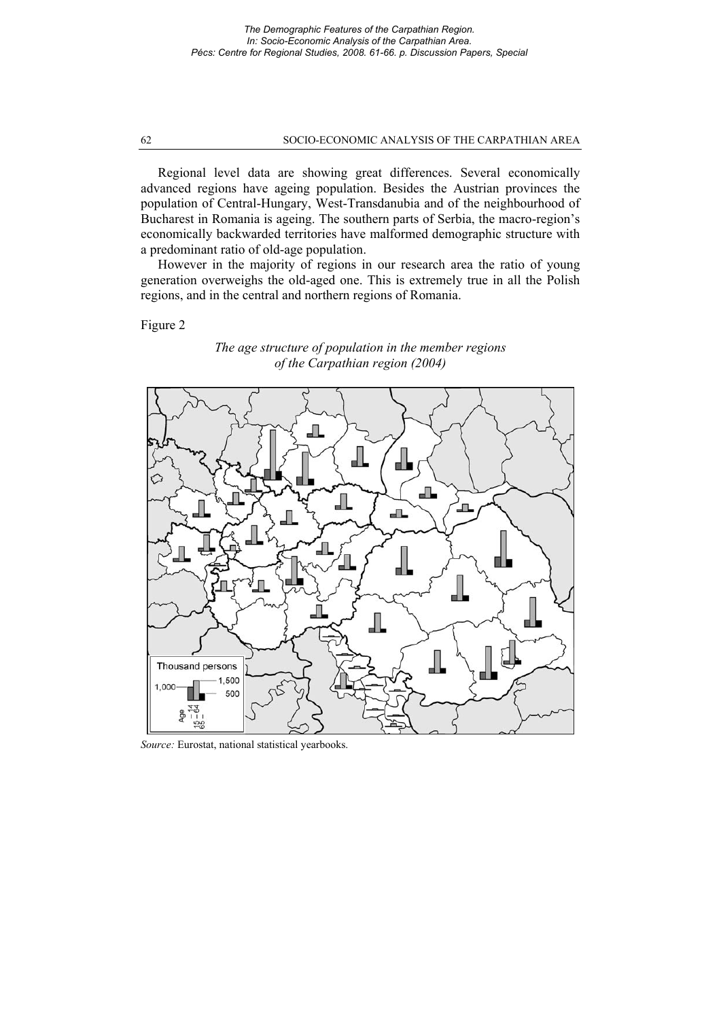### 62 SOCIO-ECONOMIC ANALYSIS OF THE CARPATHIAN AREA

Regional level data are showing great differences. Several economically advanced regions have ageing population. Besides the Austrian provinces the population of Central-Hungary, West-Transdanubia and of the neighbourhood of Bucharest in Romania is ageing. The southern parts of Serbia, the macro-region's economically backwarded territories have malformed demographic structure with a predominant ratio of old-age population.

However in the majority of regions in our research area the ratio of young generation overweighs the old-aged one. This is extremely true in all the Polish regions, and in the central and northern regions of Romania.

Figure 2





*Source:* Eurostat, national statistical yearbooks.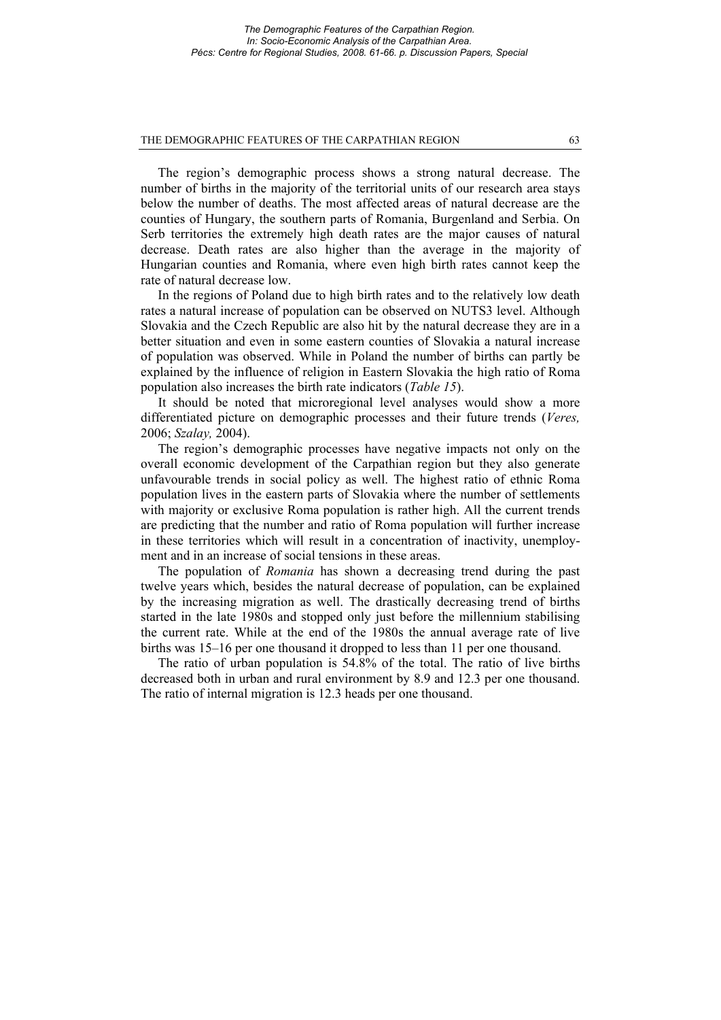### THE DEMOGRAPHIC FEATURES OF THE CARPATHIAN REGION 63

The region's demographic process shows a strong natural decrease. The number of births in the majority of the territorial units of our research area stays below the number of deaths. The most affected areas of natural decrease are the counties of Hungary, the southern parts of Romania, Burgenland and Serbia. On Serb territories the extremely high death rates are the major causes of natural decrease. Death rates are also higher than the average in the majority of Hungarian counties and Romania, where even high birth rates cannot keep the rate of natural decrease low.

In the regions of Poland due to high birth rates and to the relatively low death rates a natural increase of population can be observed on NUTS3 level. Although Slovakia and the Czech Republic are also hit by the natural decrease they are in a better situation and even in some eastern counties of Slovakia a natural increase of population was observed. While in Poland the number of births can partly be explained by the influence of religion in Eastern Slovakia the high ratio of Roma population also increases the birth rate indicators (*Table 15*).

It should be noted that microregional level analyses would show a more differentiated picture on demographic processes and their future trends (*Veres,*  2006; *Szalay,* 2004).

The region's demographic processes have negative impacts not only on the overall economic development of the Carpathian region but they also generate unfavourable trends in social policy as well. The highest ratio of ethnic Roma population lives in the eastern parts of Slovakia where the number of settlements with majority or exclusive Roma population is rather high. All the current trends are predicting that the number and ratio of Roma population will further increase in these territories which will result in a concentration of inactivity, unemployment and in an increase of social tensions in these areas.

The population of *Romania* has shown a decreasing trend during the past twelve years which, besides the natural decrease of population, can be explained by the increasing migration as well. The drastically decreasing trend of births started in the late 1980s and stopped only just before the millennium stabilising the current rate. While at the end of the 1980s the annual average rate of live births was 15–16 per one thousand it dropped to less than 11 per one thousand.

The ratio of urban population is 54.8% of the total. The ratio of live births decreased both in urban and rural environment by 8.9 and 12.3 per one thousand. The ratio of internal migration is 12.3 heads per one thousand.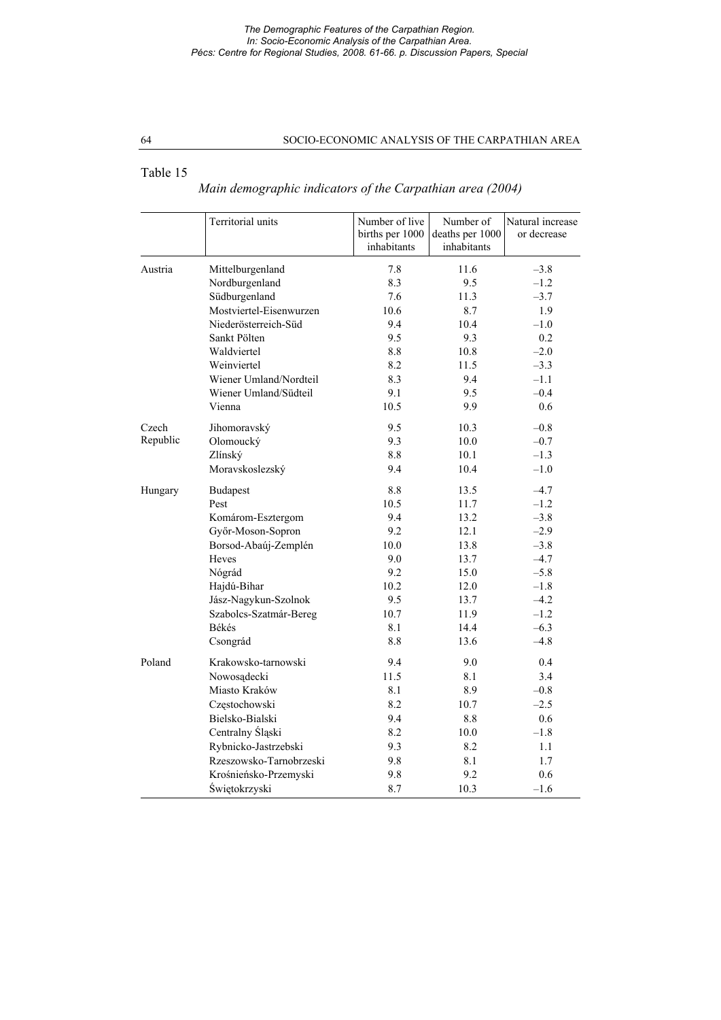### *The Demographic Features of the Carpathian Region. In: Socio-Economic Analysis of the Carpathian Area. Pécs: Centre for Regional Studies, 2008. 61-66. p. Discussion Papers, Special*

## 64 SOCIO-ECONOMIC ANALYSIS OF THE CARPATHIAN AREA

## Table 15

# *Main demographic indicators of the Carpathian area (2004)*

|          | Territorial units       | Number of live<br>births per 1000<br>inhabitants | Number of<br>deaths per 1000<br>inhabitants | Natural increase<br>or decrease |
|----------|-------------------------|--------------------------------------------------|---------------------------------------------|---------------------------------|
| Austria  | Mittelburgenland        | 7.8                                              | 11.6                                        | $-3.8$                          |
|          | Nordburgenland          | 8.3                                              | 9.5                                         | $-1.2$                          |
|          | Südburgenland           | 7.6                                              | 11.3                                        | $-3.7$                          |
|          | Mostviertel-Eisenwurzen | 10.6                                             | 8.7                                         | 1.9                             |
|          | Niederösterreich-Süd    | 9.4                                              | 10.4                                        | $-1.0$                          |
|          | Sankt Pölten            | 9.5                                              | 9.3                                         | 0.2                             |
|          | Waldviertel             | 8.8                                              | 10.8                                        | $-2.0$                          |
|          | Weinviertel             | 8.2                                              | 11.5                                        | $-3.3$                          |
|          | Wiener Umland/Nordteil  | 8.3                                              | 9.4                                         | $-1.1$                          |
|          | Wiener Umland/Südteil   | 9.1                                              | 9.5                                         | $-0.4$                          |
|          | Vienna                  | 10.5                                             | 9.9                                         | 0.6                             |
| Czech    | Jihomoravský            | 9.5                                              | 10.3                                        | $-0.8$                          |
| Republic | Olomoucký               | 9.3                                              | 10.0                                        | $-0.7$                          |
|          | Zlínský                 | 8.8                                              | 10.1                                        | $-1.3$                          |
|          | Moravskoslezský         | 9.4                                              | 10.4                                        | $-1.0$                          |
| Hungary  | <b>Budapest</b>         | 8.8                                              | 13.5                                        | $-4.7$                          |
|          | Pest                    | 10.5                                             | 11.7                                        | $-1.2$                          |
|          | Komárom-Esztergom       | 9.4                                              | 13.2                                        | $-3.8$                          |
|          | Győr-Moson-Sopron       | 9.2                                              | 12.1                                        | $-2.9$                          |
|          | Borsod-Abaúj-Zemplén    | 10.0                                             | 13.8                                        | $-3.8$                          |
|          | Heves                   | 9.0                                              | 13.7                                        | $-4.7$                          |
|          | Nógrád                  | 9.2                                              | 15.0                                        | $-5.8$                          |
|          | Hajdú-Bihar             | 10.2                                             | 12.0                                        | $-1.8$                          |
|          | Jász-Nagykun-Szolnok    | 9.5                                              | 13.7                                        | $-4.2$                          |
|          | Szabolcs-Szatmár-Bereg  | 10.7                                             | 11.9                                        | $-1.2$                          |
|          | Békés                   | 8.1                                              | 14.4                                        | $-6.3$                          |
|          | Csongrád                | 8.8                                              | 13.6                                        | $-4.8$                          |
| Poland   | Krakowsko-tarnowski     | 9.4                                              | 9.0                                         | 0.4                             |
|          | Nowosądecki             | 11.5                                             | 8.1                                         | 3.4                             |
|          | Miasto Kraków           | 8.1                                              | 8.9                                         | $-0.8$                          |
|          | Częstochowski           | 8.2                                              | 10.7                                        | $-2.5$                          |
|          | Bielsko-Bialski         | 9.4                                              | 8.8                                         | 0.6                             |
|          | Centralny Śląski        | 8.2                                              | 10.0                                        | $-1.8$                          |
|          | Rybnicko-Jastrzebski    | 9.3                                              | 8.2                                         | 1.1                             |
|          | Rzeszowsko-Tarnobrzeski | 9.8                                              | 8.1                                         | 1.7                             |
|          | Krośnieńsko-Przemyski   | 9.8                                              | 9.2                                         | 0.6                             |
|          | Świętokrzyski           | 8.7                                              | 10.3                                        | $-1.6$                          |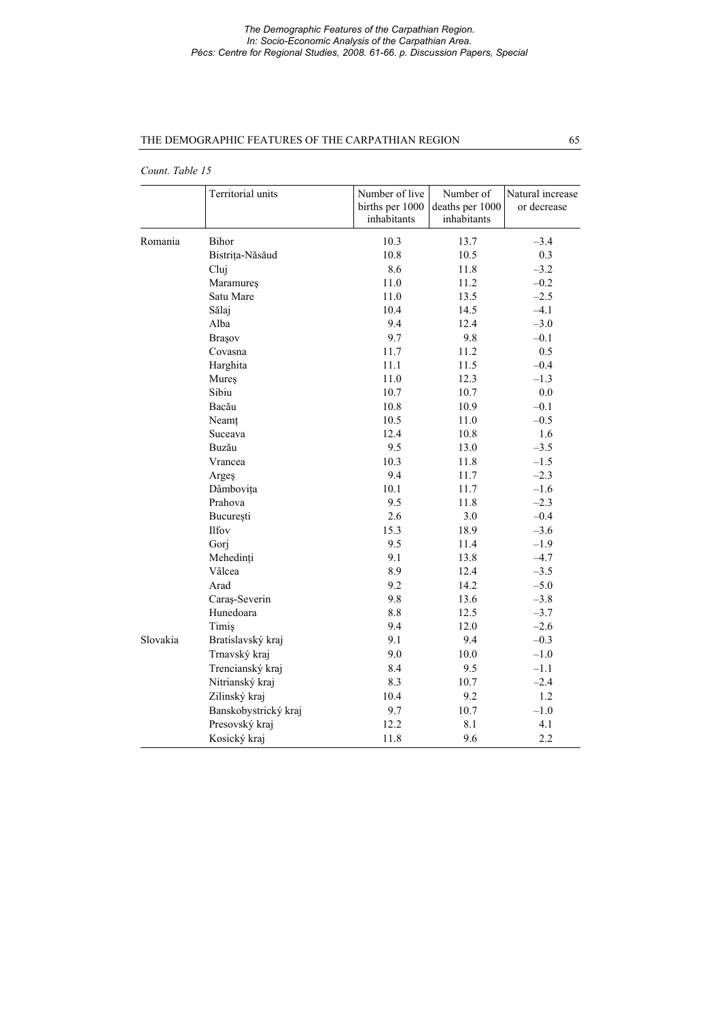### *The Demographic Features of the Carpathian Region. In: Socio-Economic Analysis of the Carpathian Area. Pécs: Centre for Regional Studies, 2008. 61-66. p. Discussion Papers, Special*

## THE DEMOGRAPHIC FEATURES OF THE CARPATHIAN REGION 65

*Count. Table 15*

|          | Territorial units    | Number of live<br>births per 1000<br>inhabitants | Number of<br>deaths per 1000<br>inhabitants | Natural increase<br>or decrease |
|----------|----------------------|--------------------------------------------------|---------------------------------------------|---------------------------------|
| Romania  | Bihor                | 10.3                                             | 13.7                                        | $-3.4$                          |
|          | Bistrița-Năsăud      | 10.8                                             | 10.5                                        | 0.3                             |
|          | Cluj                 | 8.6                                              | 11.8                                        | $-3.2$                          |
|          | Maramureş            | 11.0                                             | 11.2                                        | $-0.2$                          |
|          | Satu Mare            | 11.0                                             | 13.5                                        | $-2.5$                          |
|          | Sălaj                | 10.4                                             | 14.5                                        | $-4.1$                          |
|          | Alba                 | 9.4                                              | 12.4                                        | $-3.0$                          |
|          | Brașov               | 9.7                                              | 9.8                                         | $-0.1$                          |
|          | Covasna              | 11.7                                             | 11.2                                        | 0.5                             |
|          | Harghita             | 11.1                                             | 11.5                                        | $-0.4$                          |
|          | Mureş                | 11.0                                             | 12.3                                        | $-1.3$                          |
|          | Sibiu                | 10.7                                             | 10.7                                        | $0.0\,$                         |
|          | Bacău                | 10.8                                             | 10.9                                        | $-0.1$                          |
|          | Neamț                | 10.5                                             | 11.0                                        | $-0.5$                          |
|          | Suceava              | 12.4                                             | 10.8                                        | 1.6                             |
|          | Buzău                | 9.5                                              | 13.0                                        | $-3.5$                          |
|          | Vrancea              | 10.3                                             | 11.8                                        | $-1.5$                          |
|          | Argeş                | 9.4                                              | 11.7                                        | $-2.3$                          |
|          | Dâmbovița            | 10.1                                             | 11.7                                        | $-1.6$                          |
|          | Prahova              | 9.5                                              | 11.8                                        | $-2.3$                          |
|          | București            | 2.6                                              | 3.0                                         | $-0.4$                          |
|          | Ilfov                | 15.3                                             | 18.9                                        | $-3.6$                          |
|          | Gorj                 | 9.5                                              | 11.4                                        | $-1.9$                          |
|          | Mehedinți            | 9.1                                              | 13.8                                        | $-4.7$                          |
|          | Vâlcea               | 8.9                                              | 12.4                                        | $-3.5$                          |
|          | Arad                 | 9.2                                              | 14.2                                        | $-5.0$                          |
|          | Caraş-Severin        | 9.8                                              | 13.6                                        | $-3.8$                          |
|          | Hunedoara            | 8.8                                              | 12.5                                        | $-3.7$                          |
|          | Timis                | 9.4                                              | 12.0                                        | $-2.6$                          |
| Slovakia | Bratislavský kraj    | 9.1                                              | 9.4                                         | $-0.3$                          |
|          | Trnavský kraj        | 9.0                                              | 10.0                                        | $-1.0$                          |
|          | Trencianský kraj     | 8.4                                              | 9.5                                         | $-1.1$                          |
|          | Nitrianský kraj      | 8.3                                              | 10.7                                        | $-2.4$                          |
|          | Zilinský kraj        | 10.4                                             | 9.2                                         | 1.2                             |
|          | Banskobystrický kraj | 9.7                                              | 10.7                                        | $-1.0$                          |
|          | Presovský kraj       | 12.2                                             | 8.1                                         | 4.1                             |
|          | Kosický kraj         | 11.8                                             | 9.6                                         | 2.2                             |